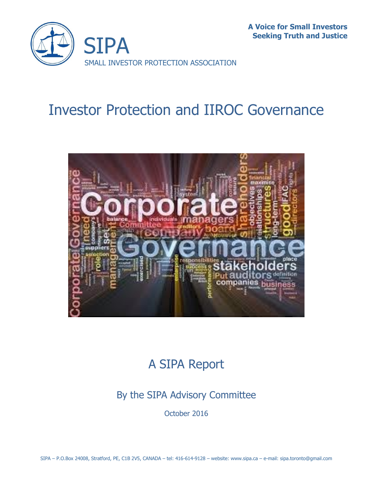

# Investor Protection and IIROC Governance



## A SIPA Report

By the SIPA Advisory Committee

October 2016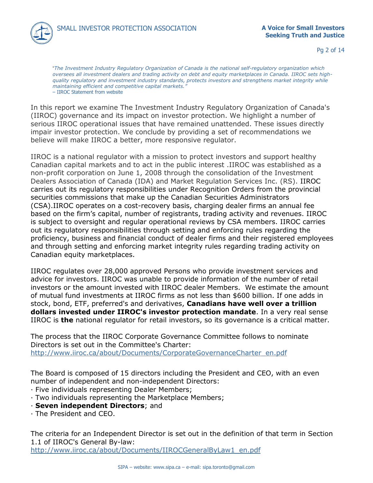

Pg 2 of 14

"*The Investment Industry Regulatory Organization of Canada is the national self-regulatory organization which oversees all investment dealers and trading activity on debt and equity marketplaces in Canada. IIROC sets highquality regulatory and investment industry standards, protects investors and strengthens market integrity while maintaining efficient and competitive capital markets."* – IIROC Statement from website

In this report we examine The Investment Industry Regulatory Organization of Canada's (IIROC) governance and its impact on investor protection. We highlight a number of serious IIROC operational issues that have remained unattended. These issues directly impair investor protection. We conclude by providing a set of recommendations we believe will make IIROC a better, more responsive regulator.

IIROC is a national regulator with a mission to protect investors and support healthy Canadian capital markets and to act in the public interest .IIROC was established as a non-profit corporation on June 1, 2008 through the consolidation of the Investment Dealers Association of Canada (IDA) and Market Regulation Services Inc. (RS). IIROC carries out its regulatory responsibilities under Recognition Orders from the provincial securities commissions that make up the Canadian Securities Administrators (CSA).IIROC operates on a cost-recovery basis, charging dealer firms an annual fee based on the firm's capital, number of registrants, trading activity and revenues. IIROC is subject to oversight and regular operational reviews by CSA members. IIROC carries out its regulatory responsibilities through setting and enforcing rules regarding the proficiency, business and financial conduct of dealer firms and their registered employees and through setting and enforcing market integrity rules regarding trading activity on Canadian equity marketplaces.

IIROC regulates over 28,000 approved Persons who provide investment services and advice for investors. IIROC was unable to provide information of the number of retail investors or the amount invested with IIROC dealer Members. We estimate the amount of mutual fund investments at IIROC firms as not less than \$600 billion. If one adds in stock, bond, ETF, preferred's and derivatives, **Canadians have well over a trillion dollars invested under IIROC's investor protection mandate**. In a very real sense IIROC is **the** national regulator for retail investors, so its governance is a critical matter.

The process that the IIROC Corporate Governance Committee follows to nominate Directors is set out in the Committee's Charter: [http://www.iiroc.ca/about/Documents/CorporateGovernanceCharter\\_en.pdf](http://www.iiroc.ca/about/Documents/CorporateGovernanceCharter_en.pdf)

The Board is composed of 15 directors including the President and CEO, with an even number of independent and non-independent Directors:

- · Five individuals representing Dealer Members;
- · Two individuals representing the Marketplace Members;
- · **Seven independent Directors**; and
- · The President and CEO.

The criteria for an Independent Director is set out in the definition of that term in Section 1.1 of IIROC's General By-law:

[http://www.iiroc.ca/about/Documents/IIROCGeneralByLaw1\\_en.pdf](http://www.iiroc.ca/about/Documents/IIROCGeneralByLaw1_en.pdf)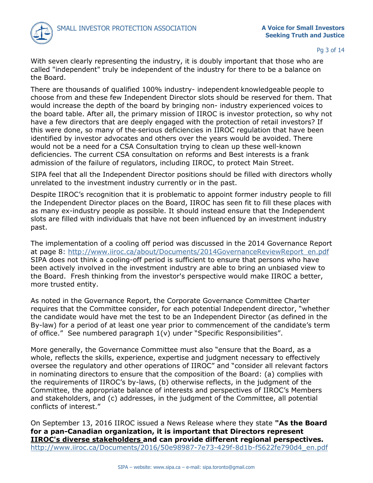

Pg 3 of 14

With seven clearly representing the industry, it is doubly important that those who are called "independent" truly be independent of the industry for there to be a balance on the Board.

There are thousands of qualified 100% industry- independent knowledgeable people to choose from and these few Independent Director slots should be reserved for them. That would increase the depth of the board by bringing non- industry experienced voices to the board table. After all, the primary mission of IIROC is investor protection, so why not have a few directors that are deeply engaged with the protection of retail investors? If this were done, so many of the serious deficiencies in IIROC regulation that have been identified by investor advocates and others over the years would be avoided. There would not be a need for a CSA Consultation trying to clean up these well-known deficiencies. The current CSA consultation on reforms and Best interests is a frank admission of the failure of regulators, including IIROC, to protect Main Street.

SIPA feel that all the Independent Director positions should be filled with directors wholly unrelated to the investment industry currently or in the past.

Despite IIROC's recognition that it is problematic to appoint former industry people to fill the Independent Director places on the Board, IIROC has seen fit to fill these places with as many ex-industry people as possible. It should instead ensure that the Independent slots are filled with individuals that have not been influenced by an investment industry past.

The implementation of a cooling off period was discussed in the 2014 Governance Report at page 8: [http://www.iiroc.ca/about/Documents/2014GovernanceReviewReport\\_en.pdf](http://www.iiroc.ca/about/Documents/2014GovernanceReviewReport_en.pdf) SIPA does not think a cooling-off period is sufficient to ensure that persons who have been actively involved in the investment industry are able to bring an unbiased view to the Board. Fresh thinking from the investor's perspective would make IIROC a better, more trusted entity.

As noted in the Governance Report, the Corporate Governance Committee Charter requires that the Committee consider, for each potential Independent director, "whether the candidate would have met the test to be an Independent Director (as defined in the By-law) for a period of at least one year prior to commencement of the candidate's term of office." See numbered paragraph 1(v) under "Specific Responsibilities".

More generally, the Governance Committee must also "ensure that the Board, as a whole, reflects the skills, experience, expertise and judgment necessary to effectively oversee the regulatory and other operations of IIROC" and "consider all relevant factors in nominating directors to ensure that the composition of the Board: (a) complies with the requirements of IIROC's by-laws, (b) otherwise reflects, in the judgment of the Committee, the appropriate balance of interests and perspectives of IIROC's Members and stakeholders, and (c) addresses, in the judgment of the Committee, all potential conflicts of interest."

On September 13, 2016 IIROC issued a News Release where they state **"As the Board for a pan-Canadian organization, it is important that Directors represent IIROC's diverse stakeholders and can provide different regional perspectives.**  [http://www.iiroc.ca/Documents/2016/50e98987-7e73-429f-8d1b-f5622fe790d4\\_en.pdf](http://www.iiroc.ca/Documents/2016/50e98987-7e73-429f-8d1b-f5622fe790d4_en.pdf)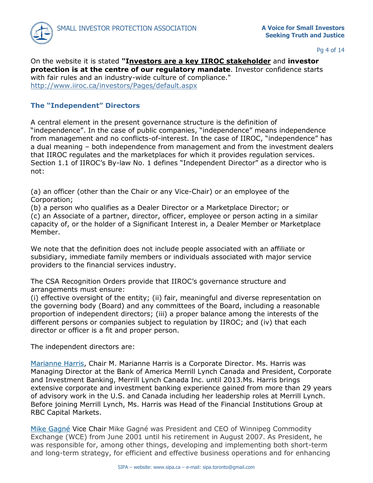

Pg 4 of 14

On the website it is stated **"Investors are a key IIROC stakeholder** and **investor protection is at the centre of our regulatory mandate**. Investor confidence starts with fair rules and an industry-wide culture of compliance." <http://www.iiroc.ca/investors/Pages/default.aspx>

## **The "Independent" Directors**

A central element in the present governance structure is the definition of "independence". In the case of public companies, "independence" means independence from management and no conflicts-of-interest. In the case of IIROC, "independence" has a dual meaning – both independence from management and from the investment dealers that IIROC regulates and the marketplaces for which it provides regulation services. Section 1.1 of IIROC's By-law No. 1 defines "Independent Director" as a director who is not:

(a) an officer (other than the Chair or any Vice-Chair) or an employee of the Corporation;

(b) a person who qualifies as a Dealer Director or a Marketplace Director; or

(c) an Associate of a partner, director, officer, employee or person acting in a similar capacity of, or the holder of a Significant Interest in, a Dealer Member or Marketplace Member.

We note that the definition does not include people associated with an affiliate or subsidiary, immediate family members or individuals associated with major service providers to the financial services industry.

The CSA Recognition Orders provide that IIROC's governance structure and arrangements must ensure:

(i) effective oversight of the entity; (ii) fair, meaningful and diverse representation on the governing body (Board) and any committees of the Board, including a reasonable proportion of independent directors; (iii) a proper balance among the interests of the different persons or companies subject to regulation by IIROC; and (iv) that each director or officer is a fit and proper person.

The independent directors are:

[Marianne Harris,](http://www.iiroc.ca/about/Pages/Marianne-Harris-boardbio.aspx#_blank) Chair M. Marianne Harris is a Corporate Director. Ms. Harris was Managing Director at the Bank of America Merrill Lynch Canada and President, Corporate and Investment Banking, Merrill Lynch Canada Inc. until 2013.Ms. Harris brings extensive corporate and investment banking experience gained from more than 29 years of advisory work in the U.S. and Canada including her leadership roles at Merrill Lynch. Before joining Merrill Lynch, Ms. Harris was Head of the Financial Institutions Group at RBC Capital Markets.

[Mike Gagné](http://www.iiroc.ca/about/Pages/Mike-Gagne-boardbio.aspx#_blank) Vice Chair Mike Gagné was President and CEO of Winnipeg Commodity Exchange (WCE) from June 2001 until his retirement in August 2007. As President, he was responsible for, among other things, developing and implementing both short-term and long-term strategy, for efficient and effective business operations and for enhancing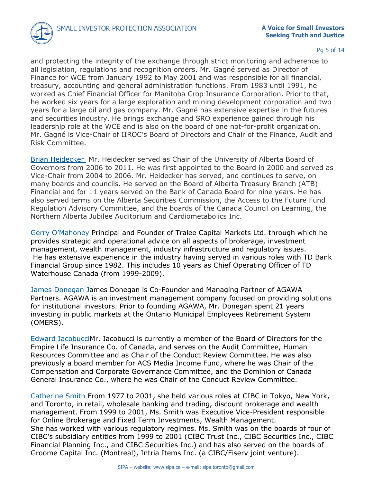

Pg 5 of 14

and protecting the integrity of the exchange through strict monitoring and adherence to all legislation, regulations and recognition orders. Mr. Gagné served as Director of Finance for WCE from January 1992 to May 2001 and was responsible for all financial, treasury, accounting and general administration functions. From 1983 until 1991, he worked as Chief Financial Officer for Manitoba Crop Insurance Corporation. Prior to that, he worked six years for a large exploration and mining development corporation and two years for a large oil and gas company. Mr. Gagné has extensive expertise in the futures and securities industry. He brings exchange and SRO experience gained through his leadership role at the WCE and is also on the board of one not-for-profit organization. Mr. Gagné is Vice-Chair of IIROC's Board of Directors and Chair of the Finance, Audit and Risk Committee.

[Brian Heidecker](http://www.iiroc.ca/about/Pages/Brian-Heidecker-boardbio.aspx#_blank) Mr. Heidecker served as Chair of the University of Alberta Board of Governors from 2006 to 2011. He was first appointed to the Board in 2000 and served as Vice-Chair from 2004 to 2006. Mr. Heidecker has served, and continues to serve, on many boards and councils. He served on the Board of Alberta Treasury Branch (ATB) Financial and for 11 years served on the Bank of Canada Board for nine years. He has also served terms on the Alberta Securities Commission, the Access to the Future Fund Regulation Advisory Committee, and the boards of the Canada Council on Learning, the Northern Alberta Jubilee Auditorium and Cardiometabolics Inc.

[Gerry O'Mahoney](http://www.iiroc.ca/about/Pages/GerryJOMahoney-boardbio.aspx#_blank) Principal and Founder of Tralee Capital Markets Ltd. through which he provides strategic and operational advice on all aspects of brokerage, investment management, wealth management, industry infrastructure and regulatory issues. He has extensive experience in the industry having served in various roles with TD Bank Financial Group since 1982. This includes 10 years as Chief Operating Officer of TD Waterhouse Canada (from 1999-2009).

[James Donegan](http://www.iiroc.ca/about/Pages/James-Donegan-boardbio.aspx#_blank) James Donegan is Co-Founder and Managing Partner of AGAWA Partners. AGAWA is an investment management company focused on providing solutions for institutional investors. Prior to founding AGAWA, Mr. Donegan spent 21 years investing in public markets at the Ontario Municipal Employees Retirement System (OMERS).

[Edward IacobucciM](http://www.iiroc.ca/about/Pages/Edward-Iacobucci-boardbio.aspx#_blank)r. Iacobucci is currently a member of the Board of Directors for the Empire Life Insurance Co. of Canada, and serves on the Audit Committee, Human Resources Committee and as Chair of the Conduct Review Committee. He was also previously a board member for ACS Media Income Fund, where he was Chair of the Compensation and Corporate Governance Committee, and the Dominion of Canada General Insurance Co., where he was Chair of the Conduct Review Committee.

[Catherine Smith](http://www.iiroc.ca/about/Pages/Catherine-Smith-boardbio.aspx#_blank) From 1977 to 2001, she held various roles at CIBC in Tokyo, New York, and Toronto, in retail, wholesale banking and trading, discount brokerage and wealth management. From 1999 to 2001, Ms. Smith was Executive Vice-President responsible for Online Brokerage and Fixed Term Investments, Wealth Management. She has worked with various regulatory regimes. Ms. Smith was on the boards of four of CIBC's subsidiary entities from 1999 to 2001 (CIBC Trust Inc., CIBC Securities Inc., CIBC Financial Planning Inc., and CIBC Securities Inc.) and has also served on the boards of Groome Capital Inc. (Montreal), Intria Items Inc. (a CIBC/Fiserv joint venture).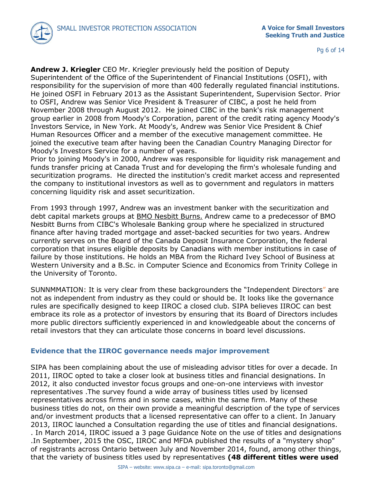

Pg 6 of 14

**Andrew J. Kriegler** CEO Mr. Kriegler previously held the position of Deputy Superintendent of the Office of the Superintendent of Financial Institutions (OSFI), with responsibility for the supervision of more than 400 federally regulated financial institutions. He joined OSFI in February 2013 as the Assistant Superintendent, Supervision Sector. Prior to OSFI, Andrew was Senior Vice President & Treasurer of CIBC, a post he held from November 2008 through August 2012. He joined CIBC in the bank's risk management group earlier in 2008 from Moody's Corporation, parent of the credit rating agency Moody's Investors Service, in New York. At Moody's, Andrew was Senior Vice President & Chief Human Resources Officer and a member of the executive management committee. He joined the executive team after having been the Canadian Country Managing Director for Moody's Investors Service for a number of years.

Prior to joining Moody's in 2000, Andrew was responsible for liquidity risk management and funds transfer pricing at Canada Trust and for developing the firm's wholesale funding and securitization programs. He directed the institution's credit market access and represented the company to institutional investors as well as to government and regulators in matters concerning liquidity risk and asset securitization.

From 1993 through 1997, Andrew was an investment banker with the securitization and debt capital markets groups at BMO Nesbitt Burns. Andrew came to a predecessor of BMO Nesbitt Burns from CIBC's Wholesale Banking group where he specialized in structured finance after having traded mortgage and asset-backed securities for two years. Andrew currently serves on the Board of the Canada Deposit Insurance Corporation, the federal corporation that insures eligible deposits by Canadians with member institutions in case of failure by those institutions. He holds an MBA from the Richard Ivey School of Business at Western University and a B.Sc. in Computer Science and Economics from Trinity College in the University of Toronto.

SUNNMMATION: It is very clear from these backgrounders the "Independent Directors" are not as independent from industry as they could or should be. It looks like the governance rules are specifically designed to keep IIROC a closed club. SIPA believes IIROC can best embrace its role as a protector of investors by ensuring that its Board of Directors includes more public directors sufficiently experienced in and knowledgeable about the concerns of retail investors that they can articulate those concerns in board level discussions.

## **Evidence that the IIROC governance needs major improvement**

SIPA has been complaining about the use of misleading advisor titles for over a decade. In 2011, IIROC opted to take a closer look at business titles and financial designations. In 2012, it also conducted investor focus groups and one-on-one interviews with investor representatives .The survey found a wide array of business titles used by licensed representatives across firms and in some cases, within the same firm. Many of these business titles do not, on their own provide a meaningful description of the type of services and/or investment products that a licensed representative can offer to a client. In January 2013, IIROC launched a Consultation regarding the use of titles and financial designations. . In March 2014, IIROC issued a 3 page Guidance Note on the use of titles and designations .In September, 2015 the OSC, IIROC and MFDA published the results of a "mystery shop" of registrants across Ontario between July and November 2014, found, among other things, that the variety of business titles used by representatives **(48 different titles were used**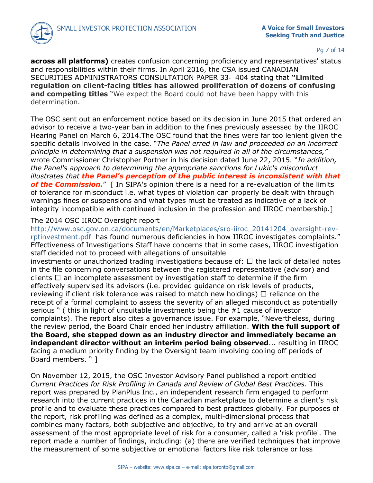

Pg 7 of 14

**across all platforms)** creates confusion concerning proficiency and representatives' status and responsibilities within their firms. In April 2016, the CSA issued CANADIAN SECURITIES ADMINISTRATORS CONSULTATION PAPER 33‐ 404 stating that **"Limited regulation on client-facing titles has allowed proliferation of dozens of confusing and competing titles** "We expect the Board could not have been happy with this determination.

The OSC sent out an enforcement notice based on its decision in June 2015 that ordered an advisor to receive a two-year ban in addition to the fines previously assessed by the IIROC Hearing Panel on March 6, 2014.The OSC found that the fines were far too lenient given the specific details involved in the case. "*The Panel erred in law and proceeded on an incorrect principle in determining that a suspension was not required in all of the circumstances,"*  wrote Commissioner Christopher Portner in his decision dated June 22, 2015. "*In addition, the Panel's approach to determining the appropriate sanctions for Lukic's misconduct illustrates that the Panel's perception of the public interest is inconsistent with that*  **of the Commission.**" [In SIPA's opinion there is a need for a re-evaluation of the limits of tolerance for misconduct i.e. what types of violation can properly be dealt with through warnings fines or suspensions and what types must be treated as indicative of a lack of integrity incompatible with continued inclusion in the profession and IIROC membership.]

## The 2014 OSC IIROC Oversight report

[http://www.osc.gov.on.ca/documents/en/Marketplaces/sro-iiroc\\_20141204\\_oversight-rev](http://www.osc.gov.on.ca/documents/en/Marketplaces/sro-iiroc_20141204_oversight-rev-rptinvestment.pdf)[rptinvestment.pdf](http://www.osc.gov.on.ca/documents/en/Marketplaces/sro-iiroc_20141204_oversight-rev-rptinvestment.pdf) has found numerous deficiencies in how IIROC investigates complaints." Effectiveness of Investigations Staff have concerns that in some cases, IIROC investigation staff decided not to proceed with allegations of unsuitable

investments or unauthorized trading investigations because of:  $\Box$  the lack of detailed notes in the file concerning conversations between the registered representative (advisor) and clients  $\square$  an incomplete assessment by investigation staff to determine if the firm effectively supervised its advisors (i.e. provided guidance on risk levels of products, reviewing if client risk tolerance was raised to match new holdings)  $\Box$  reliance on the receipt of a formal complaint to assess the severity of an alleged misconduct as potentially serious " ( this in light of unsuitable investments being the #1 cause of investor complaints). The report also cites a governance issue. For example, "Nevertheless, during the review period, the Board Chair ended her industry affiliation. **With the full support of the Board, she stepped down as an industry director and immediately became an independent director without an interim period being observed**... resulting in IIROC facing a medium priority finding by the Oversight team involving cooling off periods of Board members. " ]

On November 12, 2015, the OSC Investor Advisory Panel published a report entitled *Current Practices for Risk Profiling in Canada and Review of Global Best Practices*. This report was prepared by PlanPlus Inc., an independent research firm engaged to perform research into the current practices in the Canadian marketplace to determine a client's risk profile and to evaluate these practices compared to best practices globally. For purposes of the report, risk profiling was defined as a complex, multi-dimensional process that combines many factors, both subjective and objective, to try and arrive at an overall assessment of the most appropriate level of risk for a consumer, called a 'risk profile'. The report made a number of findings, including: (a) there are verified techniques that improve the measurement of some subjective or emotional factors like risk tolerance or loss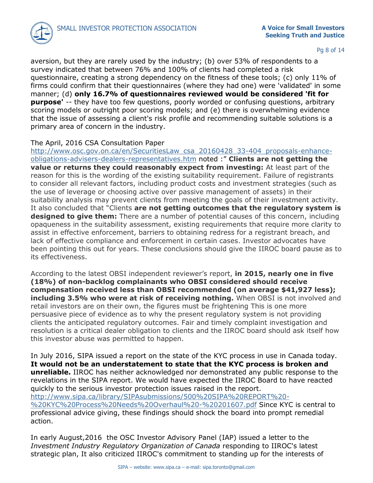

Pg 8 of 14

aversion, but they are rarely used by the industry; (b) over 53% of respondents to a survey indicated that between 76% and 100% of clients had completed a risk questionnaire, creating a strong dependency on the fitness of these tools; (c) only 11% of firms could confirm that their questionnaires (where they had one) were 'validated' in some manner; (d) **only 16.7% of questionnaires reviewed would be considered 'fit for purpose'** -- they have too few questions, poorly worded or confusing questions, arbitrary scoring models or outright poor scoring models; and (e) there is overwhelming evidence that the issue of assessing a client's risk profile and recommending suitable solutions is a primary area of concern in the industry.

## The April, 2016 CSA Consultation Paper

[http://www.osc.gov.on.ca/en/SecuritiesLaw\\_csa\\_20160428\\_33-404\\_proposals-enhance](http://www.osc.gov.on.ca/en/SecuritiesLaw_csa_20160428_33-404_proposals-enhance-obligations-advisers-dealers-representatives.htm)[obligations-advisers-dealers-representatives.htm](http://www.osc.gov.on.ca/en/SecuritiesLaw_csa_20160428_33-404_proposals-enhance-obligations-advisers-dealers-representatives.htm) noted :" **Clients are not getting the value or returns they could reasonably expect from investing:** At least part of the reason for this is the wording of the existing suitability requirement. Failure of registrants to consider all relevant factors, including product costs and investment strategies (such as the use of leverage or choosing active over passive management of assets) in their suitability analysis may prevent clients from meeting the goals of their investment activity. It also concluded that "Clients **are not getting outcomes that the regulatory system is designed to give them:** There are a number of potential causes of this concern, including opaqueness in the suitability assessment, existing requirements that require more clarity to assist in effective enforcement, barriers to obtaining redress for a registrant breach, and lack of effective compliance and enforcement in certain cases. Investor advocates have been pointing this out for years. These conclusions should give the IIROC board pause as to its effectiveness.

According to the latest OBSI independent reviewer's report, **in 2015, nearly one in five (18%) of non-backlog complainants who OBSI considered should receive compensation received less than OBSI recommended (on average \$41,927 less); including 3.5% who were at risk of receiving nothing.** When OBSI is not involved and retail investors are on their own, the figures must be frightening This is one more persuasive piece of evidence as to why the present regulatory system is not providing clients the anticipated regulatory outcomes. Fair and timely complaint investigation and resolution is a critical dealer obligation to clients and the IIROC board should ask itself how this investor abuse was permitted to happen.

In July 2016, SIPA issued a report on the state of the KYC process in use in Canada today. **It would not be an understatement to state that the KYC process is broken and unreliable.** IIROC has neither acknowledged nor demonstrated any public response to the revelations in the SIPA report. We would have expected the IIROC Board to have reacted quickly to the serious investor protection issues raised in the report. [http://www.sipa.ca/library/SIPAsubmissions/500%20SIPA%20REPORT%20-](http://www.sipa.ca/library/SIPAsubmissions/500%20SIPA%20REPORT%20-%20KYC%20Process%20Needs%20Overhaul%20-%20201607.pdf) [%20KYC%20Process%20Needs%20Overhaul%20-%20201607.pdf](http://www.sipa.ca/library/SIPAsubmissions/500%20SIPA%20REPORT%20-%20KYC%20Process%20Needs%20Overhaul%20-%20201607.pdf) Since KYC is central to professional advice giving, these findings should shock the board into prompt remedial action.

In early August,2016 the OSC Investor Advisory Panel (IAP) issued a letter to the *Investment Industry Regulatory Organization of Canada* responding to IIROC's latest strategic plan, It also criticized IIROC's commitment to standing up for the interests of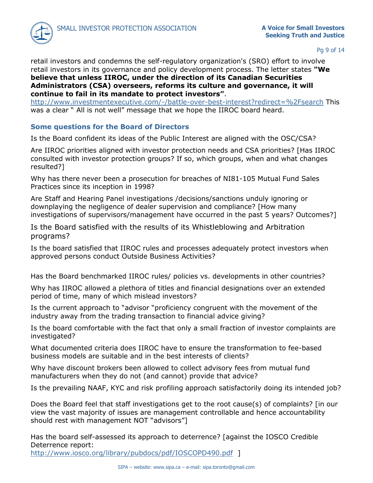

Pg 9 of 14

retail investors and condemns the self-regulatory organization's (SRO) effort to involve retail investors in its governance and policy development process. The letter states **"We believe that unless IIROC, under the direction of its Canadian Securities Administrators (CSA) overseers, reforms its culture and governance, it will continue to fail in its mandate to protect investors"**.

<http://www.investmentexecutive.com/-/battle-over-best-interest?redirect=%2Fsearch> This was a clear " All is not well" message that we hope the IIROC board heard.

## **Some questions for the Board of Directors**

Is the Board confident its ideas of the Public Interest are aligned with the OSC/CSA?

Are IIROC priorities aligned with investor protection needs and CSA priorities? [Has IIROC consulted with investor protection groups? If so, which groups, when and what changes resulted?]

Why has there never been a prosecution for breaches of NI81-105 Mutual Fund Sales Practices since its inception in 1998?

Are Staff and Hearing Panel investigations /decisions/sanctions unduly ignoring or downplaying the negligence of dealer supervision and compliance? [How many investigations of supervisors/management have occurred in the past 5 years? Outcomes?]

Is the Board satisfied with the results of its Whistleblowing and Arbitration programs?

Is the board satisfied that IIROC rules and processes adequately protect investors when approved persons conduct Outside Business Activities?

Has the Board benchmarked IIROC rules/ policies vs. developments in other countries?

Why has IIROC allowed a plethora of titles and financial designations over an extended period of time, many of which mislead investors?

Is the current approach to "advisor "proficiency congruent with the movement of the industry away from the trading transaction to financial advice giving?

Is the board comfortable with the fact that only a small fraction of investor complaints are investigated?

What documented criteria does IIROC have to ensure the transformation to fee-based business models are suitable and in the best interests of clients?

Why have discount brokers been allowed to collect advisory fees from mutual fund manufacturers when they do not (and cannot) provide that advice?

Is the prevailing NAAF, KYC and risk profiling approach satisfactorily doing its intended job?

Does the Board feel that staff investigations get to the root cause(s) of complaints? [in our view the vast majority of issues are management controllable and hence accountability should rest with management NOT "advisors"]

Has the board self-assessed its approach to deterrence? [against the IOSCO Credible Deterrence report:

<http://www.iosco.org/library/pubdocs/pdf/IOSCOPD490.pdf>]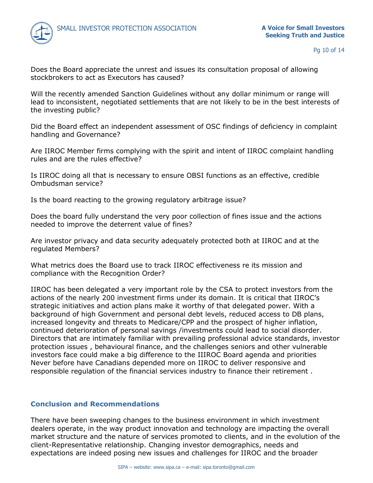

Pg 10 of 14

Does the Board appreciate the unrest and issues its consultation proposal of allowing stockbrokers to act as Executors has caused?

Will the recently amended Sanction Guidelines without any dollar minimum or range will lead to inconsistent, negotiated settlements that are not likely to be in the best interests of the investing public?

Did the Board effect an independent assessment of OSC findings of deficiency in complaint handling and Governance?

Are IIROC Member firms complying with the spirit and intent of IIROC complaint handling rules and are the rules effective?

Is IIROC doing all that is necessary to ensure OBSI functions as an effective, credible Ombudsman service?

Is the board reacting to the growing regulatory arbitrage issue?

Does the board fully understand the very poor collection of fines issue and the actions needed to improve the deterrent value of fines?

Are investor privacy and data security adequately protected both at IIROC and at the regulated Members?

What metrics does the Board use to track IIROC effectiveness re its mission and compliance with the Recognition Order?

IIROC has been delegated a very important role by the CSA to protect investors from the actions of the nearly 200 investment firms under its domain. It is critical that IIROC's strategic initiatives and action plans make it worthy of that delegated power. With a background of high Government and personal debt levels, reduced access to DB plans, increased longevity and threats to Medicare/CPP and the prospect of higher inflation, continued deterioration of personal savings /investments could lead to social disorder. Directors that are intimately familiar with prevailing professional advice standards, investor protection issues , behavioural finance, and the challenges seniors and other vulnerable investors face could make a big difference to the IIIROC Board agenda and priorities Never before have Canadians depended more on IIROC to deliver responsive and responsible regulation of the financial services industry to finance their retirement .

## **Conclusion and Recommendations**

There have been sweeping changes to the business environment in which investment dealers operate, in the way product innovation and technology are impacting the overall market structure and the nature of services promoted to clients, and in the evolution of the client-Representative relationship. Changing investor demographics, needs and expectations are indeed posing new issues and challenges for IIROC and the broader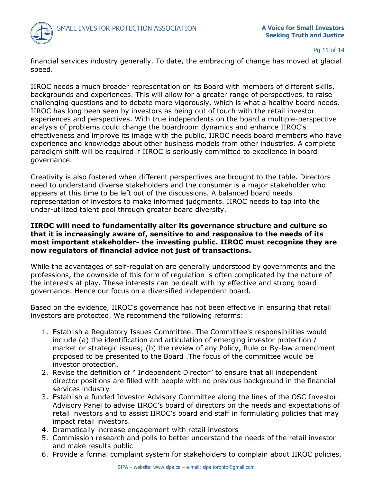

#### Pg 11 of 14

financial services industry generally. To date, the embracing of change has moved at glacial speed.

IIROC needs a much broader representation on its Board with members of different skills, backgrounds and experiences. This will allow for a greater range of perspectives, to raise challenging questions and to debate more vigorously, which is what a healthy board needs. IIROC has long been seen by investors as being out of touch with the retail investor experiences and perspectives. With true independents on the board a multiple-perspective analysis of problems could change the boardroom dynamics and enhance IIROC's effectiveness and improve its image with the public. IIROC needs board members who have experience and knowledge about other business models from other industries. A complete paradigm shift will be required if IIROC is seriously committed to excellence in board governance.

Creativity is also fostered when different perspectives are brought to the table. Directors need to understand diverse stakeholders and the consumer is a major stakeholder who appears at this time to be left out of the discussions. A balanced board needs representation of investors to make informed judgments. IIROC needs to tap into the under-utilized talent pool through greater board diversity.

## **IIROC will need to fundamentally alter its governance structure and culture so that it is increasingly aware of, sensitive to and responsive to the needs of its most important stakeholder- the investing public. IIROC must recognize they are now regulators of financial advice not just of transactions.**

While the advantages of self-regulation are generally understood by governments and the professions, the downside of this form of regulation is often complicated by the nature of the interests at play. These interests can be dealt with by effective and strong board governance. Hence our focus on a diversified independent board.

Based on the evidence, IIROC's governance has not been effective in ensuring that retail investors are protected. We recommend the following reforms:

- 1. Establish a Regulatory Issues Committee. The Committee's responsibilities would include (a) the identification and articulation of emerging investor protection / market or strategic issues; (b) the review of any Policy, Rule or By-law amendment proposed to be presented to the Board .The focus of the committee would be investor protection.
- 2. Revise the definition of " Independent Director" to ensure that all independent director positions are filled with people with no previous background in the financial services industry
- 3. Establish a funded Investor Advisory Committee along the lines of the OSC Investor Advisory Panel to advise IIROC's board of directors on the needs and expectations of retail investors and to assist IIROC's board and staff in formulating policies that may impact retail investors.
- 4. Dramatically increase engagement with retail investors
- 5. Commission research and polls to better understand the needs of the retail investor and make results public
- 6. Provide a formal complaint system for stakeholders to complain about IIROC policies,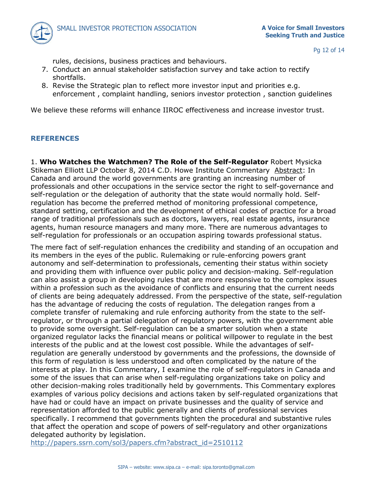

Pg 12 of 14

rules, decisions, business practices and behaviours.

- 7. Conduct an annual stakeholder satisfaction survey and take action to rectify shortfalls.
- 8. Revise the Strategic plan to reflect more investor input and priorities e.g. enforcement , complaint handling, seniors investor protection , sanction guidelines

We believe these reforms will enhance IIROC effectiveness and increase investor trust.

## **REFERENCES**

1. **Who Watches the Watchmen? The Role of the Self-Regulator** Robert Mysicka Stikeman Elliott LLP October 8, 2014 C.D. Howe Institute Commentary Abstract: In Canada and around the world governments are granting an increasing number of professionals and other occupations in the service sector the right to self-governance and self-regulation or the delegation of authority that the state would normally hold. Selfregulation has become the preferred method of monitoring professional competence, standard setting, certification and the development of ethical codes of practice for a broad range of traditional professionals such as doctors, lawyers, real estate agents, insurance agents, human resource managers and many more. There are numerous advantages to self-regulation for professionals or an occupation aspiring towards professional status.

The mere fact of self-regulation enhances the credibility and standing of an occupation and its members in the eyes of the public. Rulemaking or rule-enforcing powers grant autonomy and self-determination to professionals, cementing their status within society and providing them with influence over public policy and decision-making. Self-regulation can also assist a group in developing rules that are more responsive to the complex issues within a profession such as the avoidance of conflicts and ensuring that the current needs of clients are being adequately addressed. From the perspective of the state, self-regulation has the advantage of reducing the costs of regulation. The delegation ranges from a complete transfer of rulemaking and rule enforcing authority from the state to the selfregulator, or through a partial delegation of regulatory powers, with the government able to provide some oversight. Self-regulation can be a smarter solution when a state organized regulator lacks the financial means or political willpower to regulate in the best interests of the public and at the lowest cost possible. While the advantages of selfregulation are generally understood by governments and the professions, the downside of this form of regulation is less understood and often complicated by the nature of the interests at play. In this Commentary, I examine the role of self-regulators in Canada and some of the issues that can arise when self-regulating organizations take on policy and other decision-making roles traditionally held by governments. This Commentary explores examples of various policy decisions and actions taken by self-regulated organizations that have had or could have an impact on private businesses and the quality of service and representation afforded to the public generally and clients of professional services specifically. I recommend that governments tighten the procedural and substantive rules that affect the operation and scope of powers of self-regulatory and other organizations delegated authority by legislation.

[http://papers.ssrn.com/sol3/papers.cfm?abstract\\_id=2510112](http://papers.ssrn.com/sol3/papers.cfm?abstract_id=2510112)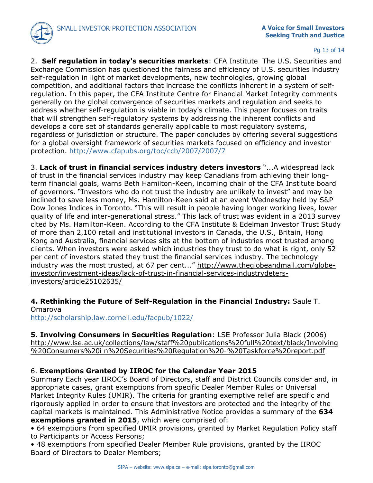

Pg 13 of 14

2. **Self regulation in today's securities markets**: CFA Institute The U.S. Securities and Exchange Commission has questioned the fairness and efficiency of U.S. securities industry self-regulation in light of market developments, new technologies, growing global competition, and additional factors that increase the conflicts inherent in a system of selfregulation. In this paper, the CFA Institute Centre for Financial Market Integrity comments generally on the global convergence of securities markets and regulation and seeks to address whether self-regulation is viable in today's climate. This paper focuses on traits that will strengthen self-regulatory systems by addressing the inherent conflicts and develops a core set of standards generally applicable to most regulatory systems, regardless of jurisdiction or structure. The paper concludes by offering several suggestions for a global oversight framework of securities markets focused on efficiency and investor protection.<http://www.cfapubs.org/toc/ccb/2007/2007/7>

3. **Lack of trust in financial services industry deters investors** "...A widespread lack of trust in the financial services industry may keep Canadians from achieving their longterm financial goals, warns Beth Hamilton-Keen, incoming chair of the CFA Institute board of governors. "Investors who do not trust the industry are unlikely to invest" and may be inclined to save less money, Ms. Hamilton-Keen said at an event Wednesday held by S&P Dow Jones Indices in Toronto. "This will result in people having longer working lives, lower quality of life and inter-generational stress." This lack of trust was evident in a 2013 survey cited by Ms. Hamilton-Keen. According to the CFA Institute & Edelman Investor Trust Study of more than 2,100 retail and institutional investors in Canada, the U.S., Britain, Hong Kong and Australia, financial services sits at the bottom of industries most trusted among clients. When investors were asked which industries they trust to do what is right, only 52 per cent of investors stated they trust the financial services industry. The technology industry was the most trusted, at 67 per cent..." [http://www.theglobeandmail.com/globe](http://www.theglobeandmail.com/globe-investor/investment-ideas/lack-of-trust-in-financial-services-industrydeters-investors/article25102635/)[investor/investment-ideas/lack-of-trust-in-financial-services-industrydeters](http://www.theglobeandmail.com/globe-investor/investment-ideas/lack-of-trust-in-financial-services-industrydeters-investors/article25102635/)[investors/article25102635/](http://www.theglobeandmail.com/globe-investor/investment-ideas/lack-of-trust-in-financial-services-industrydeters-investors/article25102635/)

## **4. Rethinking the Future of Self-Regulation in the Financial Industry:** Saule T. Omarova

<http://scholarship.law.cornell.edu/facpub/1022/>

**5. Involving Consumers in Securities Regulation**: LSE Professor Julia Black (2006) http://www.lse.ac.uk/collections/law/staff%20publications%20full%20text/black/Involving %20Consumers%20i n%20Securities%20Regulation%20-%20Taskforce%20report.pdf

## 6. **Exemptions Granted by IIROC for the Calendar Year 2015**

Summary Each year IIROC's Board of Directors, staff and District Councils consider and, in appropriate cases, grant exemptions from specific Dealer Member Rules or Universal Market Integrity Rules (UMIR). The criteria for granting exemptive relief are specific and rigorously applied in order to ensure that investors are protected and the integrity of the capital markets is maintained. This Administrative Notice provides a summary of the **634 exemptions granted in 2015**, which were comprised of:

• 64 exemptions from specified UMIR provisions, granted by Market Regulation Policy staff to Participants or Access Persons;

• 48 exemptions from specified Dealer Member Rule provisions, granted by the IIROC Board of Directors to Dealer Members;